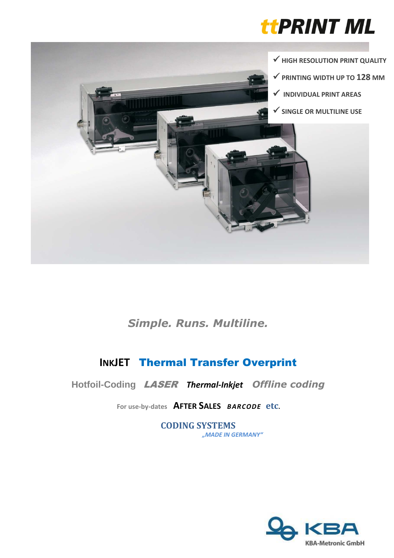



*Simple. Runs. Multiline.* 

# **INKJET** Thermal Transfer Overprint

**Hotfoil-Coding** LASER *Thermal-Inkjet**Offline coding*

**For use-by-dates AFTER SALES** *BARCODE* **etc.** 

**CODING SYSTEMS** *"MADE IN GERMANY"*